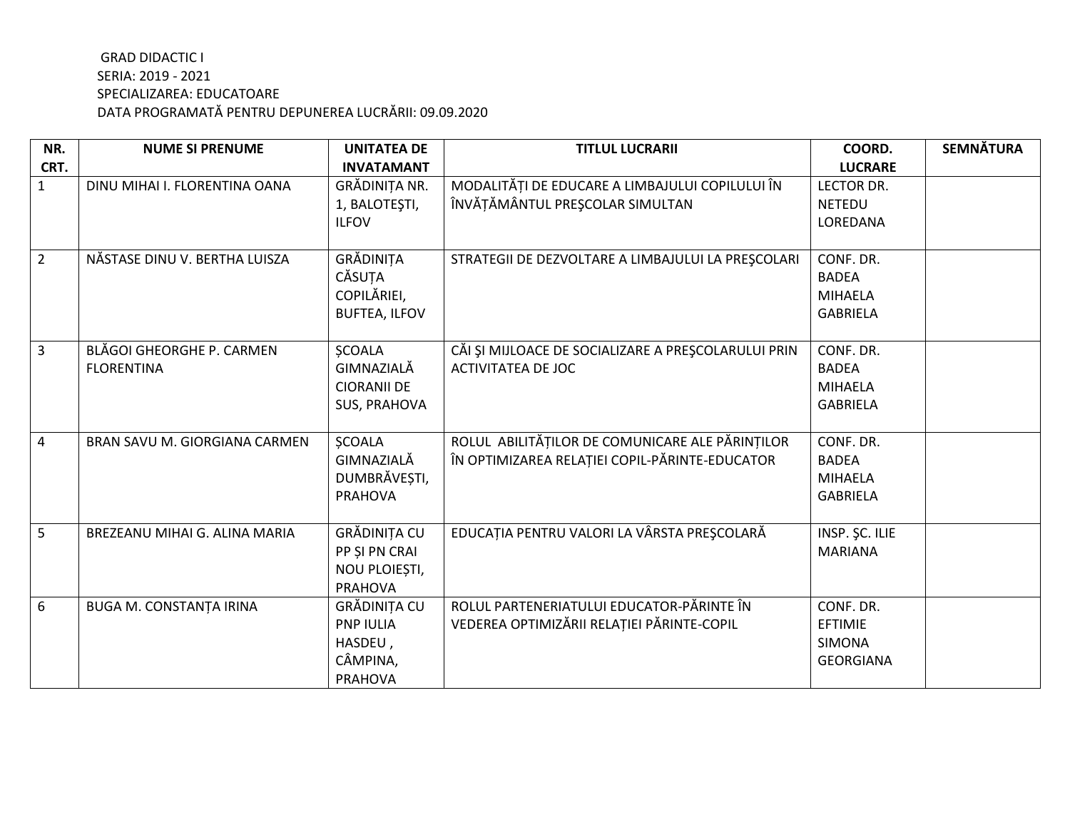| NR.            | <b>NUME SI PRENUME</b>           | <b>UNITATEA DE</b>                 | <b>TITLUL LUCRARII</b>                              | COORD.                            | <b>SEMNĂTURA</b> |
|----------------|----------------------------------|------------------------------------|-----------------------------------------------------|-----------------------------------|------------------|
| CRT.           |                                  | <b>INVATAMANT</b>                  |                                                     | <b>LUCRARE</b>                    |                  |
| $\mathbf{1}$   | DINU MIHAI I. FLORENTINA OANA    | GRĂDINIȚA NR.                      | MODALITĂȚI DE EDUCARE A LIMBAJULUI COPILULUI ÎN     | <b>LECTOR DR.</b>                 |                  |
|                |                                  | 1, BALOTEȘTI,                      | ÎNVĂȚĂMÂNTUL PREȘCOLAR SIMULTAN                     | <b>NETEDU</b>                     |                  |
|                |                                  | <b>ILFOV</b>                       |                                                     | LOREDANA                          |                  |
|                |                                  |                                    |                                                     |                                   |                  |
| $2^{\circ}$    | NĂSTASE DINU V. BERTHA LUISZA    | GRĂDINIȚA                          | STRATEGII DE DEZVOLTARE A LIMBAJULUI LA PRESCOLARI  | CONF. DR.                         |                  |
|                |                                  | CĂSUȚA                             |                                                     | <b>BADEA</b>                      |                  |
|                |                                  | COPILĂRIEI,                        |                                                     | <b>MIHAELA</b>                    |                  |
|                |                                  | <b>BUFTEA, ILFOV</b>               |                                                     | <b>GABRIELA</b>                   |                  |
|                |                                  |                                    |                                                     |                                   |                  |
| $\overline{3}$ | <b>BLĂGOI GHEORGHE P. CARMEN</b> | <b>SCOALA</b><br>GIMNAZIALĂ        | CĂI ȘI MIJLOACE DE SOCIALIZARE A PREȘCOLARULUI PRIN | CONF. DR.                         |                  |
|                | <b>FLORENTINA</b>                |                                    | <b>ACTIVITATEA DE JOC</b>                           | <b>BADEA</b>                      |                  |
|                |                                  | <b>CIORANII DE</b><br>SUS, PRAHOVA |                                                     | <b>MIHAELA</b><br><b>GABRIELA</b> |                  |
|                |                                  |                                    |                                                     |                                   |                  |
| 4              | BRAN SAVU M. GIORGIANA CARMEN    | <b>SCOALA</b>                      | ROLUL ABILITĂȚILOR DE COMUNICARE ALE PĂRINȚILOR     | CONF. DR.                         |                  |
|                |                                  | GIMNAZIALĂ                         | ÎN OPTIMIZAREA RELAȚIEI COPIL-PĂRINTE-EDUCATOR      | <b>BADEA</b>                      |                  |
|                |                                  | DUMBRĂVEȘTI,                       |                                                     | <b>MIHAELA</b>                    |                  |
|                |                                  | <b>PRAHOVA</b>                     |                                                     | <b>GABRIELA</b>                   |                  |
|                |                                  |                                    |                                                     |                                   |                  |
| 5              | BREZEANU MIHAI G. ALINA MARIA    | GRĂDINIȚA CU                       | EDUCAȚIA PENTRU VALORI LA VÂRSTA PREȘCOLARĂ         | INSP. ŞC. ILIE                    |                  |
|                |                                  | PP ȘI PN CRAI                      |                                                     | <b>MARIANA</b>                    |                  |
|                |                                  | NOU PLOIEȘTI,                      |                                                     |                                   |                  |
|                |                                  | <b>PRAHOVA</b>                     |                                                     |                                   |                  |
| 6              | <b>BUGA M. CONSTANȚA IRINA</b>   | GRĂDINIȚA CU                       | ROLUL PARTENERIATULUI EDUCATOR-PĂRINTE ÎN           | CONF. DR.                         |                  |
|                |                                  | <b>PNP IULIA</b>                   | VEDEREA OPTIMIZĂRII RELAȚIEI PĂRINTE-COPIL          | <b>EFTIMIE</b>                    |                  |
|                |                                  | HASDEU,                            |                                                     | <b>SIMONA</b>                     |                  |
|                |                                  | CÂMPINA,                           |                                                     | <b>GEORGIANA</b>                  |                  |
|                |                                  | <b>PRAHOVA</b>                     |                                                     |                                   |                  |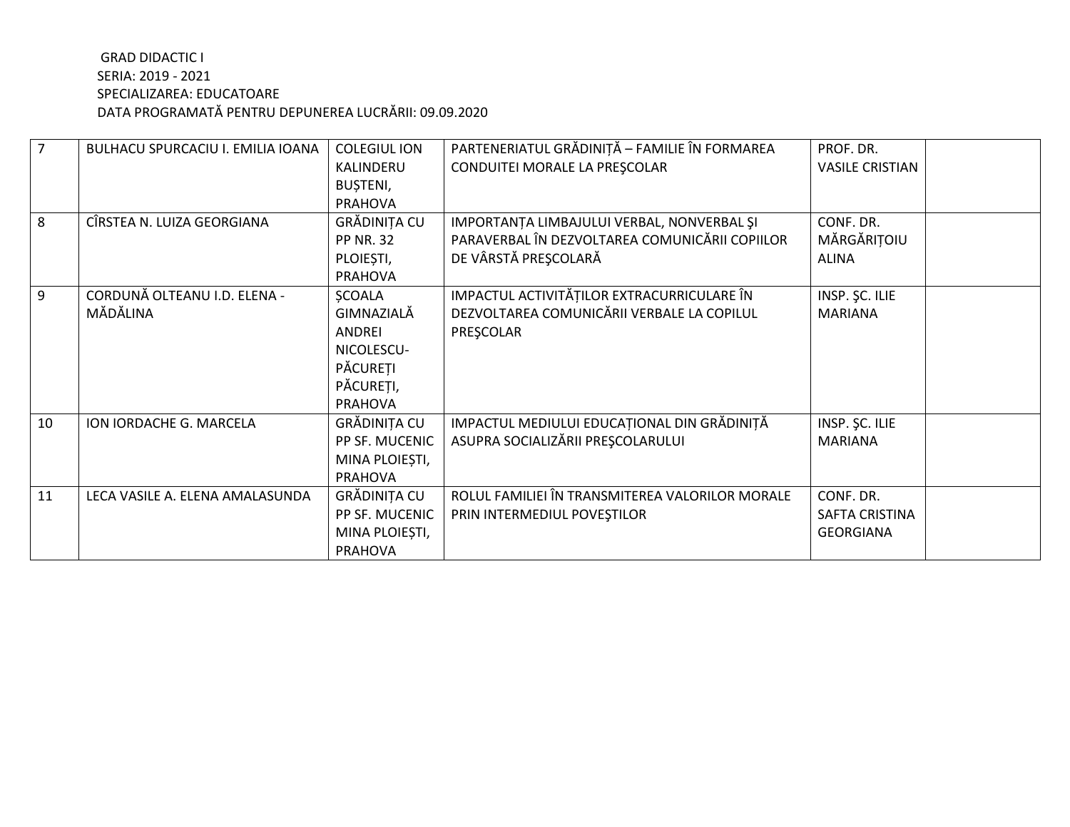| 7              | BULHACU SPURCACIU I. EMILIA IOANA | <b>COLEGIUL ION</b> | PARTENERIATUL GRĂDINIȚĂ - FAMILIE ÎN FORMAREA   | PROF. DR.              |  |
|----------------|-----------------------------------|---------------------|-------------------------------------------------|------------------------|--|
|                |                                   | KALINDERU           | CONDUITEI MORALE LA PREȘCOLAR                   | <b>VASILE CRISTIAN</b> |  |
|                |                                   | BUȘTENI,            |                                                 |                        |  |
|                |                                   | <b>PRAHOVA</b>      |                                                 |                        |  |
| 8              | CÎRSTEA N. LUIZA GEORGIANA        | GRĂDINIȚA CU        | IMPORTANȚA LIMBAJULUI VERBAL, NONVERBAL ȘI      | CONF. DR.              |  |
|                |                                   | <b>PP NR. 32</b>    | PARAVERBAL ÎN DEZVOLTAREA COMUNICĂRII COPIILOR  | MĂRGĂRIȚOIU            |  |
|                |                                   | PLOIEȘTI,           | DE VÂRSTĂ PREȘCOLARĂ                            | <b>ALINA</b>           |  |
|                |                                   | <b>PRAHOVA</b>      |                                                 |                        |  |
| $\overline{9}$ | CORDUNĂ OLTEANU I.D. ELENA -      | <b>ŞCOALA</b>       | IMPACTUL ACTIVITĂȚILOR EXTRACURRICULARE ÎN      | INSP. ŞC. ILIE         |  |
|                | MĂDĂLINA                          | GIMNAZIALĂ          | DEZVOLTAREA COMUNICĂRII VERBALE LA COPILUL      | <b>MARIANA</b>         |  |
|                |                                   | ANDREI              | PRESCOLAR                                       |                        |  |
|                |                                   | NICOLESCU-          |                                                 |                        |  |
|                |                                   | PĂCUREȚI            |                                                 |                        |  |
|                |                                   | PĂCUREȚI,           |                                                 |                        |  |
|                |                                   | <b>PRAHOVA</b>      |                                                 |                        |  |
| 10             | ION IORDACHE G. MARCELA           | GRĂDINIȚA CU        | IMPACTUL MEDIULUI EDUCAȚIONAL DIN GRĂDINIȚĂ     | INSP. ŞC. ILIE         |  |
|                |                                   | PP SF. MUCENIC      | ASUPRA SOCIALIZĂRII PREȘCOLARULUI               | <b>MARIANA</b>         |  |
|                |                                   | MINA PLOIEȘTI,      |                                                 |                        |  |
|                |                                   | PRAHOVA             |                                                 |                        |  |
| 11             | LECA VASILE A. ELENA AMALASUNDA   | GRĂDINIȚA CU        | ROLUL FAMILIEI ÎN TRANSMITEREA VALORILOR MORALE | CONF. DR.              |  |
|                |                                   | PP SF. MUCENIC      | PRIN INTERMEDIUL POVEȘTILOR                     | SAFTA CRISTINA         |  |
|                |                                   | MINA PLOIEȘTI,      |                                                 | <b>GEORGIANA</b>       |  |
|                |                                   | <b>PRAHOVA</b>      |                                                 |                        |  |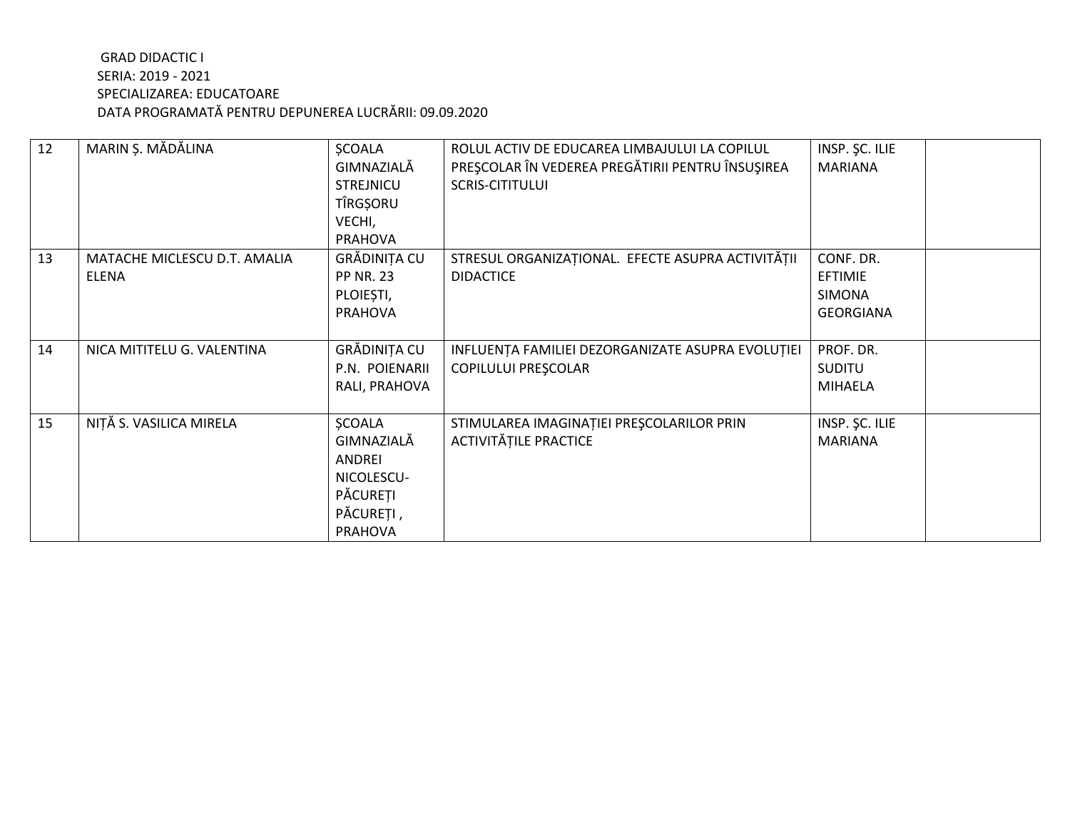| 12 | MARIN Ș. MĂDĂLINA                            | <b>ŞCOALA</b><br>GIMNAZIALĂ<br><b>STREJNICU</b><br>TÎRGȘORU<br>VECHI,<br><b>PRAHOVA</b>        | ROLUL ACTIV DE EDUCAREA LIMBAJULUI LA COPILUL<br>PREȘCOLAR ÎN VEDEREA PREGĂTIRII PENTRU ÎNSUȘIREA<br><b>SCRIS-CITITULUI</b> | INSP. SC. ILIE<br><b>MARIANA</b>                          |
|----|----------------------------------------------|------------------------------------------------------------------------------------------------|-----------------------------------------------------------------------------------------------------------------------------|-----------------------------------------------------------|
| 13 | MATACHE MICLESCU D.T. AMALIA<br><b>ELENA</b> | GRĂDINIȚA CU<br><b>PP NR. 23</b><br>PLOIEȘTI,<br><b>PRAHOVA</b>                                | STRESUL ORGANIZAȚIONAL. EFECTE ASUPRA ACTIVITĂȚII<br><b>DIDACTICE</b>                                                       | CONF. DR.<br>EFTIMIE<br><b>SIMONA</b><br><b>GEORGIANA</b> |
| 14 | NICA MITITELU G. VALENTINA                   | GRĂDINIȚA CU<br>P.N. POIENARII<br>RALI, PRAHOVA                                                | INFLUENȚA FAMILIEI DEZORGANIZATE ASUPRA EVOLUȚIEI<br>COPILULUI PREȘCOLAR                                                    | PROF. DR.<br><b>SUDITU</b><br><b>MIHAELA</b>              |
| 15 | NIȚĂ S. VASILICA MIRELA                      | <b>ŞCOALA</b><br>GIMNAZIALĂ<br>ANDREI<br>NICOLESCU-<br>PĂCUREȚI<br>PĂCUREȚI,<br><b>PRAHOVA</b> | STIMULAREA IMAGINAȚIEI PREȘCOLARILOR PRIN<br><b>ACTIVITĂȚILE PRACTICE</b>                                                   | INSP. SC. ILIE<br><b>MARIANA</b>                          |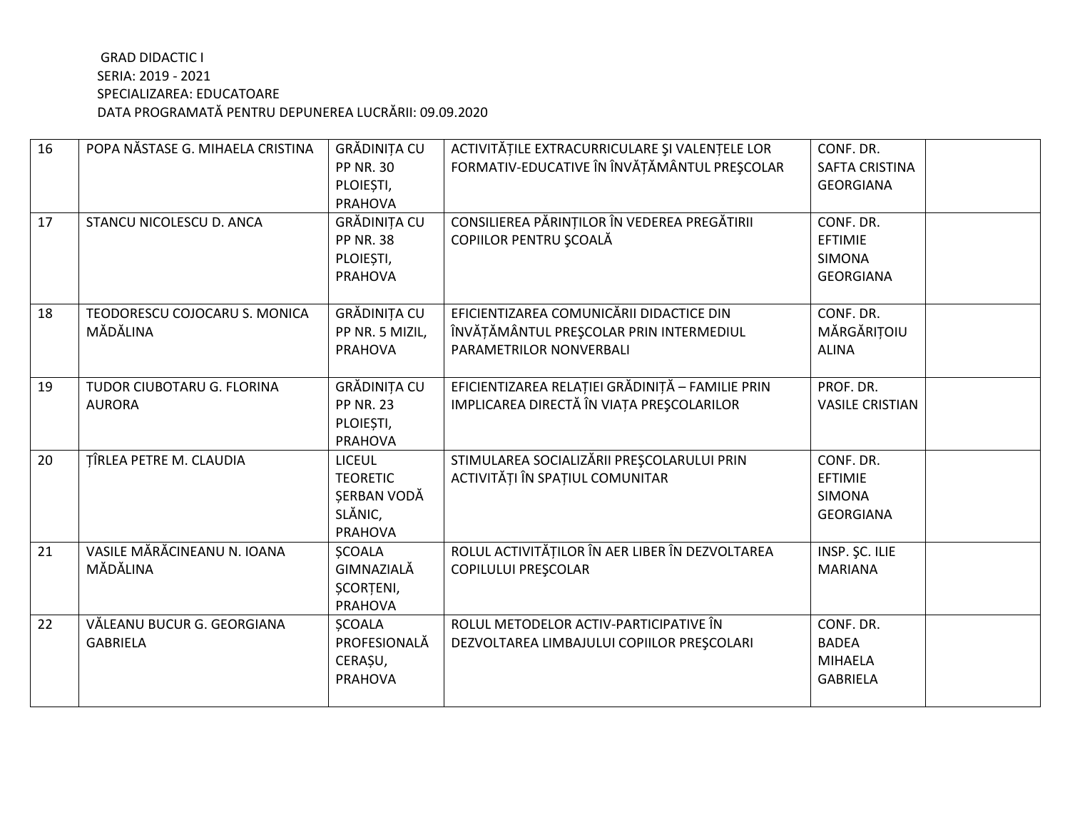| 16 | POPA NĂSTASE G. MIHAELA CRISTINA | <b>GRĂDINIȚA CU</b> | ACTIVITĂȚILE EXTRACURRICULARE ȘI VALENȚELE LOR   | CONF. DR.              |
|----|----------------------------------|---------------------|--------------------------------------------------|------------------------|
|    |                                  | <b>PP NR. 30</b>    | FORMATIV-EDUCATIVE ÎN ÎNVĂȚĂMÂNTUL PREȘCOLAR     | SAFTA CRISTINA         |
|    |                                  | PLOIEȘTI,           |                                                  | <b>GEORGIANA</b>       |
|    |                                  | <b>PRAHOVA</b>      |                                                  |                        |
| 17 | STANCU NICOLESCU D. ANCA         | <b>GRĂDINIȚA CU</b> | CONSILIEREA PĂRINȚILOR ÎN VEDEREA PREGĂTIRII     | CONF. DR.              |
|    |                                  | <b>PP NR. 38</b>    | COPIILOR PENTRU ȘCOALĂ                           | <b>EFTIMIE</b>         |
|    |                                  | PLOIEȘTI,           |                                                  | <b>SIMONA</b>          |
|    |                                  | PRAHOVA             |                                                  | <b>GEORGIANA</b>       |
|    |                                  |                     |                                                  |                        |
| 18 | TEODORESCU COJOCARU S. MONICA    | GRĂDINIȚA CU        | EFICIENTIZAREA COMUNICĂRII DIDACTICE DIN         | CONF. DR.              |
|    | MĂDĂLINA                         | PP NR. 5 MIZIL,     | ÎNVĂȚĂMÂNTUL PREȘCOLAR PRIN INTERMEDIUL          | MĂRGĂRIȚOIU            |
|    |                                  | <b>PRAHOVA</b>      | PARAMETRILOR NONVERBALI                          | <b>ALINA</b>           |
|    |                                  |                     |                                                  |                        |
| 19 | TUDOR CIUBOTARU G. FLORINA       | GRĂDINIȚA CU        | EFICIENTIZAREA RELAȚIEI GRĂDINIȚĂ - FAMILIE PRIN | PROF. DR.              |
|    | <b>AURORA</b>                    | <b>PP NR. 23</b>    | IMPLICAREA DIRECTĂ ÎN VIAȚA PREȘCOLARILOR        | <b>VASILE CRISTIAN</b> |
|    |                                  | PLOIEȘTI,           |                                                  |                        |
|    |                                  | PRAHOVA             |                                                  |                        |
| 20 | TÎRLEA PETRE M. CLAUDIA          | <b>LICEUL</b>       | STIMULAREA SOCIALIZĂRII PREȘCOLARULUI PRIN       | CONF. DR.              |
|    |                                  | <b>TEORETIC</b>     | ACTIVITĂȚI ÎN SPAȚIUL COMUNITAR                  | EFTIMIE                |
|    |                                  | SERBAN VODĂ         |                                                  | <b>SIMONA</b>          |
|    |                                  | SLĂNIC,             |                                                  | <b>GEORGIANA</b>       |
|    |                                  | <b>PRAHOVA</b>      |                                                  |                        |
| 21 | VASILE MĂRĂCINEANU N. IOANA      | <b>SCOALA</b>       | ROLUL ACTIVITĂȚILOR ÎN AER LIBER ÎN DEZVOLTAREA  | INSP. ŞC. ILIE         |
|    | MĂDĂLINA                         | GIMNAZIALĂ          | <b>COPILULUI PREȘCOLAR</b>                       | <b>MARIANA</b>         |
|    |                                  | <b>ȘCORȚENI,</b>    |                                                  |                        |
|    |                                  | <b>PRAHOVA</b>      |                                                  |                        |
| 22 | VĂLEANU BUCUR G. GEORGIANA       | <b>SCOALA</b>       | ROLUL METODELOR ACTIV-PARTICIPATIVE ÎN           | CONF. DR.              |
|    | <b>GABRIELA</b>                  | PROFESIONALĂ        | DEZVOLTAREA LIMBAJULUI COPIILOR PREȘCOLARI       | <b>BADEA</b>           |
|    |                                  | CERAȘU,             |                                                  | <b>MIHAELA</b>         |
|    |                                  | <b>PRAHOVA</b>      |                                                  | <b>GABRIELA</b>        |
|    |                                  |                     |                                                  |                        |